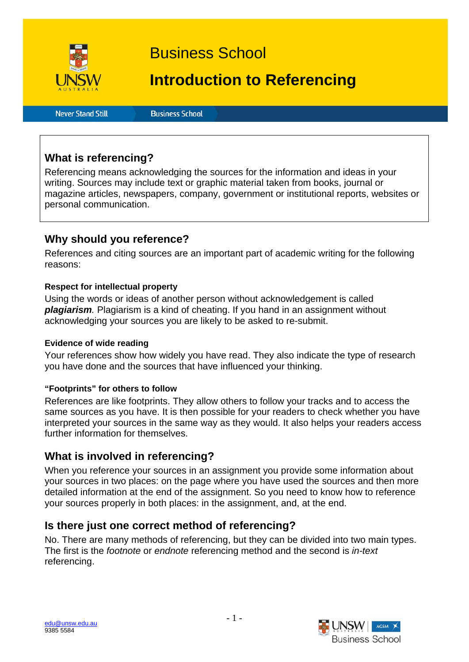

Business School

# **Introduction to Referencing**

**Never Stand Still** 

**Business School** 

# **What is referencing?**

Referencing means acknowledging the sources for the information and ideas in your writing. Sources may include text or graphic material taken from books, journal or magazine articles, newspapers, company, government or institutional reports, websites or personal communication.

# **Why should you reference?**

References and citing sources are an important part of academic writing for the following reasons:

### **Respect for intellectual property**

Using the words or ideas of another person without acknowledgement is called *plagiarism.* Plagiarism is a kind of cheating. If you hand in an assignment without acknowledging your sources you are likely to be asked to re-submit.

### **Evidence of wide reading**

Your references show how widely you have read. They also indicate the type of research you have done and the sources that have influenced your thinking.

### **"Footprints" for others to follow**

References are like footprints. They allow others to follow your tracks and to access the same sources as you have. It is then possible for your readers to check whether you have interpreted your sources in the same way as they would. It also helps your readers access further information for themselves.

# **What is involved in referencing?**

When you reference your sources in an assignment you provide some information about your sources in two places: on the page where you have used the sources and then more detailed information at the end of the assignment. So you need to know how to reference your sources properly in both places: in the assignment, and, at the end.

### **Is there just one correct method of referencing?**

No. There are many methods of referencing, but they can be divided into two main types. The first is the *footnote* or *endnote* referencing method and the second is *in-text*  referencing.

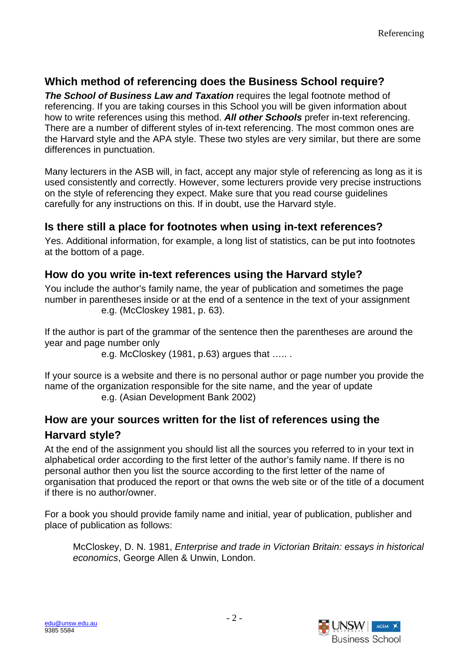# **Which method of referencing does the Business School require?**

*The School of Business Law and Taxation* requires the legal footnote method of referencing. If you are taking courses in this School you will be given information about how to write references using this method. *All other Schools* prefer in-text referencing. There are a number of different styles of in-text referencing. The most common ones are the Harvard style and the APA style. These two styles are very similar, but there are some differences in punctuation.

Many lecturers in the ASB will, in fact, accept any major style of referencing as long as it is used consistently and correctly. However, some lecturers provide very precise instructions on the style of referencing they expect. Make sure that you read course guidelines carefully for any instructions on this. If in doubt, use the Harvard style.

# **Is there still a place for footnotes when using in-text references?**

Yes. Additional information, for example, a long list of statistics, can be put into footnotes at the bottom of a page.

# **How do you write in-text references using the Harvard style?**

You include the author's family name, the year of publication and sometimes the page number in parentheses inside or at the end of a sentence in the text of your assignment e.g. (McCloskey 1981, p. 63).

If the author is part of the grammar of the sentence then the parentheses are around the year and page number only

e.g. McCloskey (1981, p.63) argues that ….. .

If your source is a website and there is no personal author or page number you provide the name of the organization responsible for the site name, and the year of update e.g. (Asian Development Bank 2002)

# **How are your sources written for the list of references using the Harvard style?**

At the end of the assignment you should list all the sources you referred to in your text in alphabetical order according to the first letter of the author's family name. If there is no personal author then you list the source according to the first letter of the name of organisation that produced the report or that owns the web site or of the title of a document if there is no author/owner.

For a book you should provide family name and initial, year of publication, publisher and place of publication as follows:

McCloskey, D. N. 1981, *Enterprise and trade in Victorian Britain: essays in historical economics*, George Allen & Unwin, London.